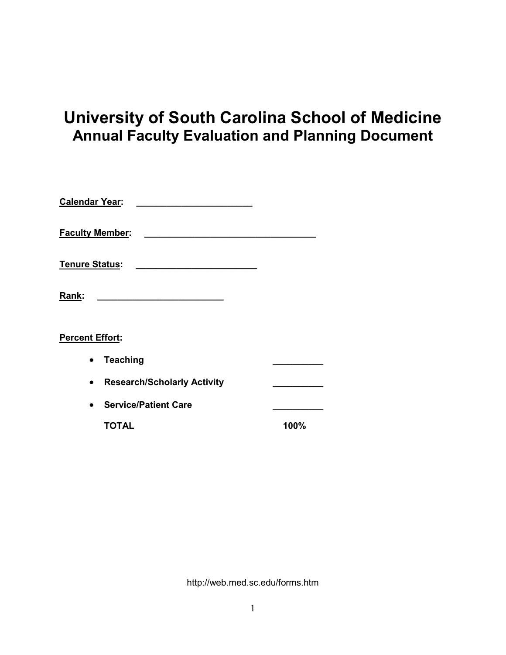# **University of South Carolina School of Medicine Annual Faculty Evaluation and Planning Document**

| <b>Calendar Year:</b>  |                                              |      |
|------------------------|----------------------------------------------|------|
| <b>Faculty Member:</b> |                                              |      |
| <u> Tenure Status:</u> | the control of the control of the control of |      |
| Rank:                  |                                              |      |
| Percent Effort:        |                                              |      |
|                        | <b>Teaching</b>                              |      |
|                        | <b>Research/Scholarly Activity</b>           |      |
|                        | <b>Service/Patient Care</b>                  |      |
|                        | <b>TOTAL</b>                                 | 100% |
|                        |                                              |      |

http://web.med.sc.edu/forms.htm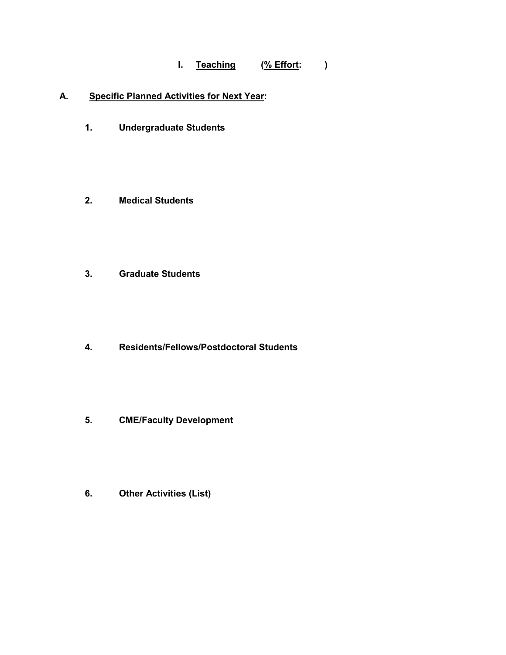## **I. Teaching (% Effort: )**

## **A. Specific Planned Activities for Next Year:**

- **1. Undergraduate Students**
- **2. Medical Students**
- **3. Graduate Students**
- **4. Residents/Fellows/Postdoctoral Students**
- **5. CME/Faculty Development**
- **6. Other Activities (List)**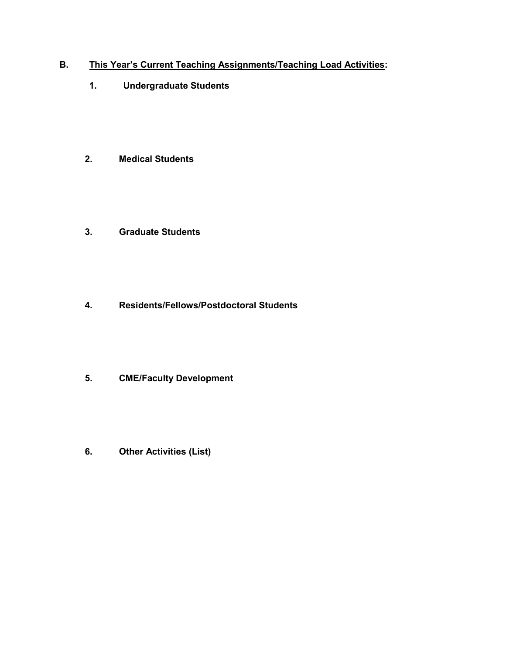## **B. This Year's Current Teaching Assignments/Teaching Load Activities:**

- **1. Undergraduate Students**
- **2. Medical Students**
- **3. Graduate Students**
- **4. Residents/Fellows/Postdoctoral Students**
- **5. CME/Faculty Development**
- **6. Other Activities (List)**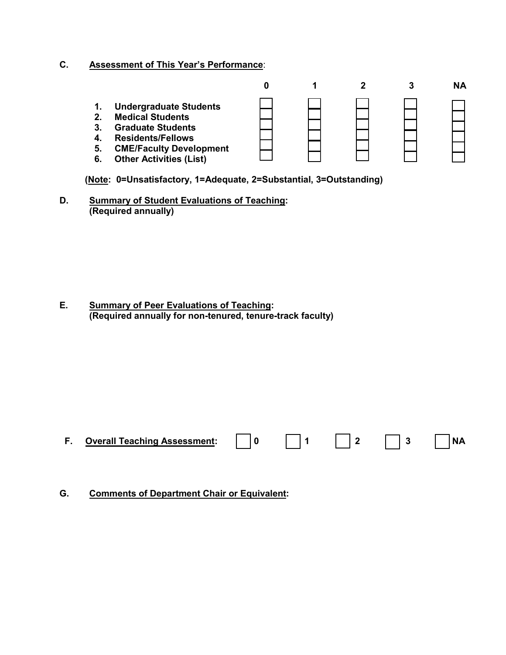## **C. Assessment of This Year's Performance**:

|                                                            |                                                                                                                                                                                      |  |  | NΑ |
|------------------------------------------------------------|--------------------------------------------------------------------------------------------------------------------------------------------------------------------------------------|--|--|----|
| 1.<br>2 <sub>1</sub><br>3.<br>$\boldsymbol{4}$<br>5.<br>6. | <b>Undergraduate Students</b><br><b>Medical Students</b><br><b>Graduate Students</b><br><b>Residents/Fellows</b><br><b>CME/Faculty Development</b><br><b>Other Activities (List)</b> |  |  |    |

**(Note: 0=Unsatisfactory, 1=Adequate, 2=Substantial, 3=Outstanding)**

**D. Summary of Student Evaluations of Teaching: (Required annually)**

**E. Summary of Peer Evaluations of Teaching: (Required annually for non-tenured, tenure-track faculty)**

**F. Overall Teaching Assessment: 0 1 2 3 NA**

**G. Comments of Department Chair or Equivalent:**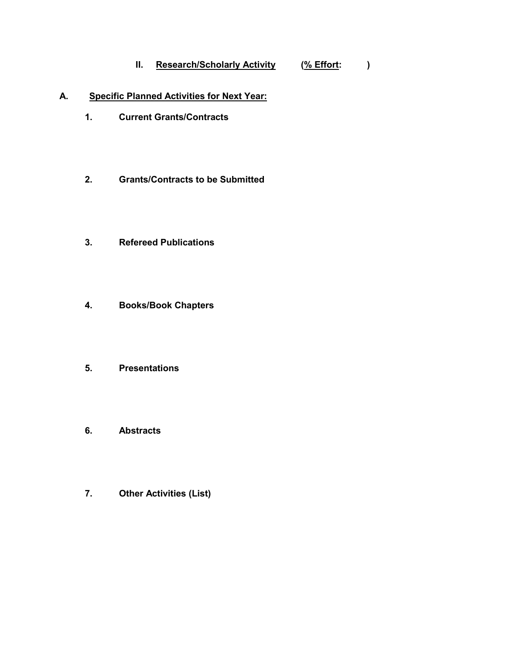## **II. Research/Scholarly Activity (% Effort: )**

## **A. Specific Planned Activities for Next Year:**

- **1. Current Grants/Contracts**
- **2. Grants/Contracts to be Submitted**
- **3. Refereed Publications**
- **4. Books/Book Chapters**
- **5. Presentations**
- **6. Abstracts**
- **7. Other Activities (List)**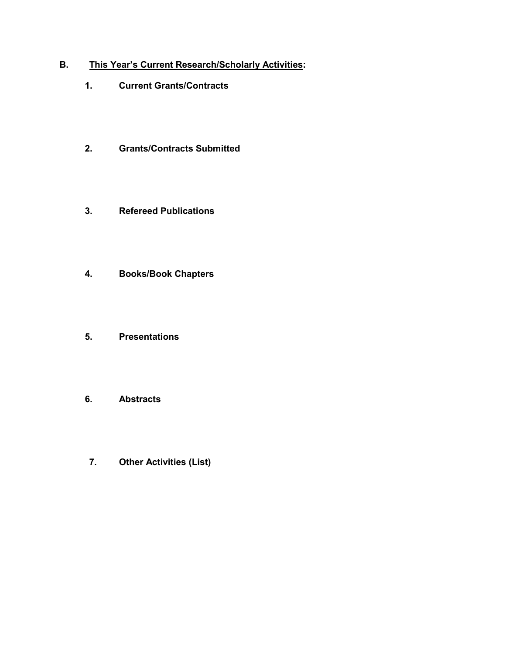## **B. This Year's Current Research/Scholarly Activities:**

- **1. Current Grants/Contracts**
- **2. Grants/Contracts Submitted**
- **3. Refereed Publications**
- **4. Books/Book Chapters**
- **5. Presentations**
- **6. Abstracts**
- **7. Other Activities (List)**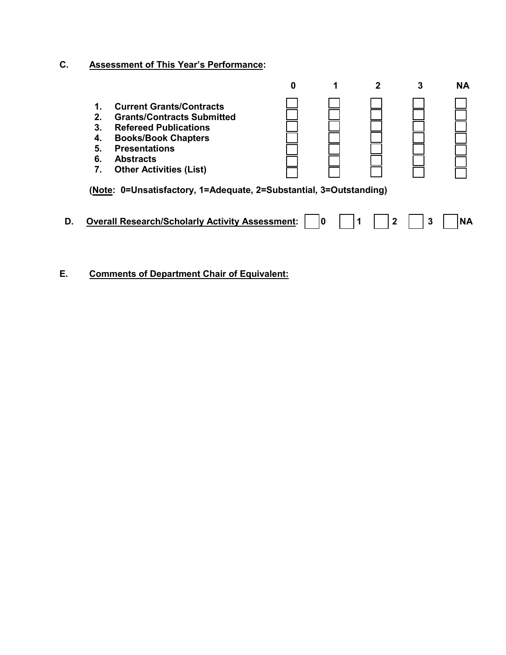# **C. Assessment of This Year's Performance:**

|    |                                                    |                                                                                                                                                                                                                  | 0 |    |   |    | <b>NA</b> |
|----|----------------------------------------------------|------------------------------------------------------------------------------------------------------------------------------------------------------------------------------------------------------------------|---|----|---|----|-----------|
|    | 1.<br>2 <sub>1</sub><br>3.<br>4.<br>5.<br>6.<br>7. | <b>Current Grants/Contracts</b><br><b>Grants/Contracts Submitted</b><br><b>Refereed Publications</b><br><b>Books/Book Chapters</b><br><b>Presentations</b><br><b>Abstracts</b><br><b>Other Activities (List)</b> |   |    |   |    |           |
|    |                                                    | (Note: 0=Unsatisfactory, 1=Adequate, 2=Substantial, 3=Outstanding)                                                                                                                                               |   |    |   |    |           |
| D. |                                                    | <b>Overall Research/Scholarly Activity Assessment:</b>                                                                                                                                                           |   | ۱۵ | 2 | -3 | <b>NA</b> |

**E. Comments of Department Chair of Equivalent:**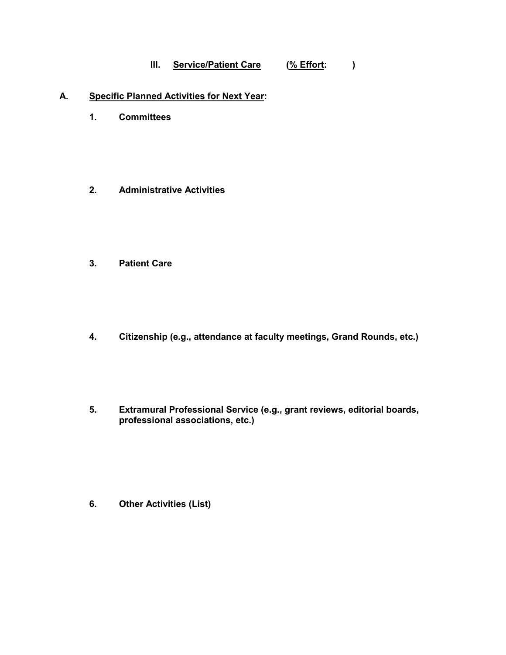## **III. Service/Patient Care (% Effort: )**

#### **A. Specific Planned Activities for Next Year:**

- **1. Committees**
- **2. Administrative Activities**
- **3. Patient Care**
- **4. Citizenship (e.g., attendance at faculty meetings, Grand Rounds, etc.)**
- **5. Extramural Professional Service (e.g., grant reviews, editorial boards, professional associations, etc.)**

**6. Other Activities (List)**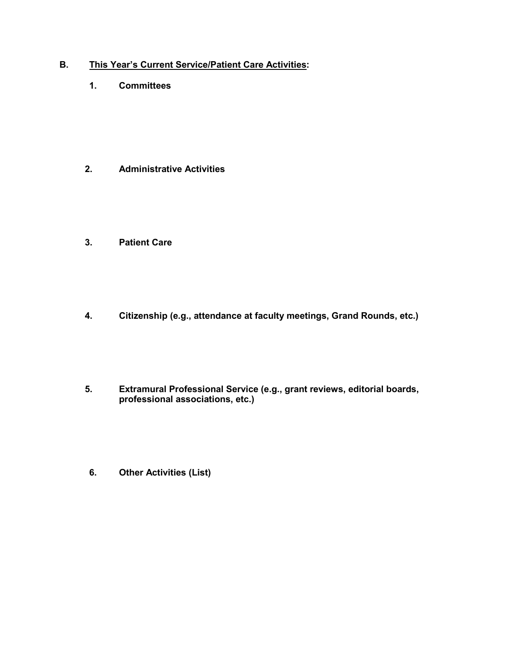## **B. This Year's Current Service/Patient Care Activities:**

**1. Committees**

- **2. Administrative Activities**
- **3. Patient Care**
- **4. Citizenship (e.g., attendance at faculty meetings, Grand Rounds, etc.)**
- **5. Extramural Professional Service (e.g., grant reviews, editorial boards, professional associations, etc.)**
- **6. Other Activities (List)**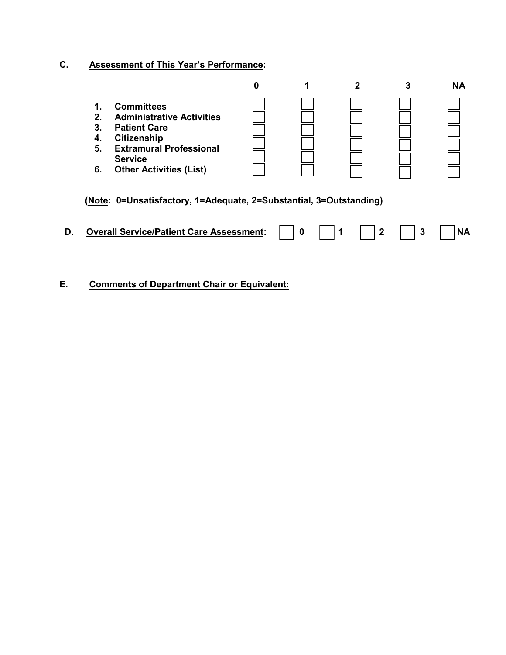# **C. Assessment of This Year's Performance:**

|    |                                           |                                                                                                                                                                                          | 0 |   | 2 | 3 | <b>NA</b> |
|----|-------------------------------------------|------------------------------------------------------------------------------------------------------------------------------------------------------------------------------------------|---|---|---|---|-----------|
|    | 1.<br>$2_{\cdot}$<br>3.<br>4.<br>5.<br>6. | <b>Committees</b><br><b>Administrative Activities</b><br><b>Patient Care</b><br><b>Citizenship</b><br><b>Extramural Professional</b><br><b>Service</b><br><b>Other Activities (List)</b> |   |   |   |   |           |
|    |                                           | (Note: 0=Unsatisfactory, 1=Adequate, 2=Substantial, 3=Outstanding)                                                                                                                       |   |   |   |   |           |
| D. |                                           | <b>Overall Service/Patient Care Assessment:</b>                                                                                                                                          |   | 0 | 2 | 3 | <b>NA</b> |
|    |                                           |                                                                                                                                                                                          |   |   |   |   |           |

**E. Comments of Department Chair or Equivalent:**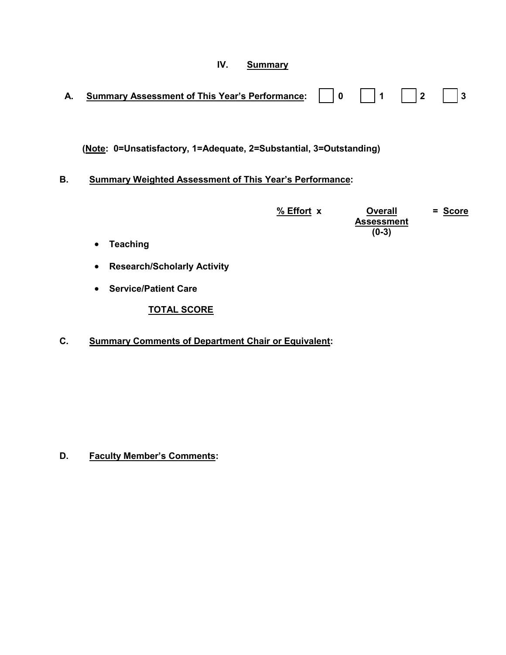# **IV. Summary**

| А.        | <b>Summary Assessment of This Year's Performance:</b>              |            | 0 | 1                                   | $\mathbf{2}$ | 3       |
|-----------|--------------------------------------------------------------------|------------|---|-------------------------------------|--------------|---------|
|           |                                                                    |            |   |                                     |              |         |
|           | (Note: 0=Unsatisfactory, 1=Adequate, 2=Substantial, 3=Outstanding) |            |   |                                     |              |         |
| <b>B.</b> | <b>Summary Weighted Assessment of This Year's Performance:</b>     |            |   |                                     |              |         |
|           |                                                                    | % Effort x |   | <b>Overall</b><br><b>Assessment</b> |              | = Score |
|           |                                                                    |            |   | $(0-3)$                             |              |         |
|           | <b>Teaching</b><br>$\bullet$                                       |            |   |                                     |              |         |
|           | <b>Research/Scholarly Activity</b><br>$\bullet$                    |            |   |                                     |              |         |
|           | <b>Service/Patient Care</b>                                        |            |   |                                     |              |         |

**TOTAL SCORE**

**C. Summary Comments of Department Chair or Equivalent:**

**D. Faculty Member's Comments:**